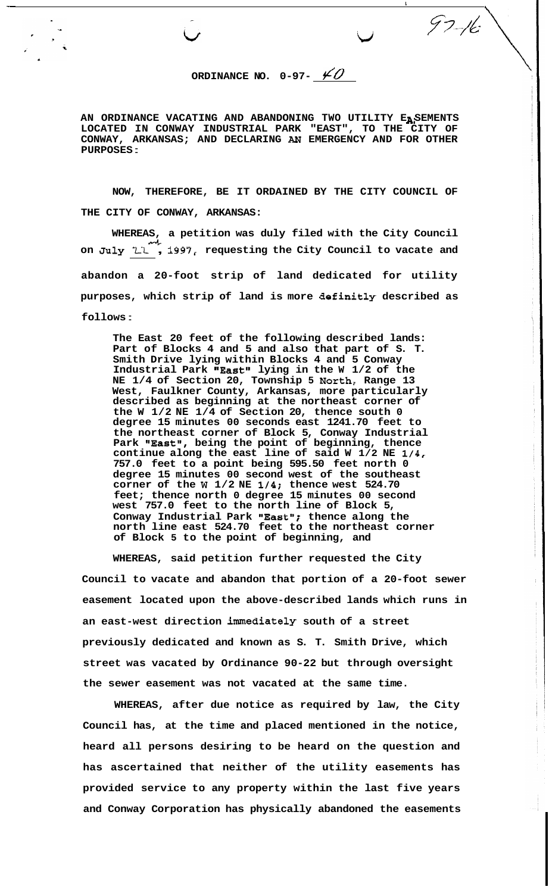ORDINANCE NO.  $0-97-\underline{\cancel{40}}$ 

Lj *777.4* 

 $\begin{picture}(120,17) \put(15,17){\line(1,0){155}} \put(15,17){\line(1,0){155}} \put(15,17){\line(1,0){155}} \put(15,17){\line(1,0){155}} \put(15,17){\line(1,0){155}} \put(15,17){\line(1,0){155}} \put(15,17){\line(1,0){155}} \put(15,17){\line(1,0){155}} \put(15,17){\line(1,0){155}} \put(15,17){\line(1,0){155}} \put(15,17$ 

AN ORDINANCE VACATING AND ABANDONING TWO UTILITY EASEMENTS **LOCATED IN CONWAY INDUSTRIAL PARK "EAST", TO THE CITY OF CONWAY, ARKANSAS; AND DECLARING AN EMERGENCY AND FOR OTHER PURPOSES** :

**NOW, THEREFORE, BE IT ORDAINED BY THE CITY COUNCIL OF THE CITY OF CONWAY, ARKANSAS:** 

WHEREAS, a petition was duly filed with the City Council<br>1. <sup>4.1</sup> 1997, requesting the City Council to yeste and on July  $L^2$ , 1997, requesting the City Council to vacate and **abandon a 20-foot strip of land dedicated for utility purposes, which strip of land is more definitly described as follows** :

**The East 20 feet of the following described lands: Part of Blocks 4 and 5 and also that part of S. T. Smith Drive lying within Blocks 4 and 5 Conway**  Industrial Park "East" lying in the W 1/2 of the **NE 1/4 of Section 20, Township 5 North, Range 13 West, Faulkner County, Arkansas, more particularly described as beginning at the northeast corner of the W 1/2 NE 1/4 of Section 20, thence south 0 degree 15 minutes 00 seconds east 1241.70 feet to the northeast corner of Block 5, Conway Industrial**  Park "**East",** being the point of beginning, thence **continue along the east line of said W 1/2 NE 1/4, 757.0 feet to a point being 595.50 feet north 0 degree 15 minutes 00 second west of the southeast corner of the W 1/2 NE 1/4; thence west 524.70 feet; thence north 0 degree 15 minutes 00 second west 757.0 feet to the north line of Block 5,**  Conway Industrial Park "East"; thence along the **north line east 524.70 feet to the northeast corner of Block 5 to the point of beginning, and** 

**WHEREAS, said petition further requested the City Council to vacate and abandon that portion of a 20-foot sewer easement located upon the above-described lands which runs in an east-west direction immediately south of a street previously dedicated and known as S. T. Smith Drive, which street was vacated by Ordinance 90-22 but through oversight the sewer easement was not vacated at the same time.** 

**WHEREAS, after due notice as required by law, the City Council has, at the time and placed mentioned in the notice, heard all persons desiring to be heard on the question and has ascertained that neither of the utility easements has provided service to any property within the last five years and Conway Corporation has physically abandoned the easements**